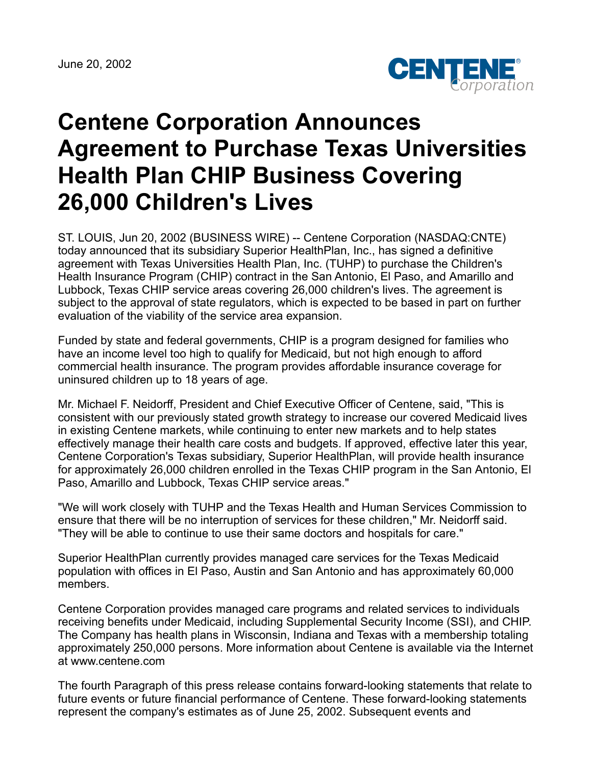June 20, 2002



## **Centene Corporation Announces Agreement to Purchase Texas Universities Health Plan CHIP Business Covering 26,000 Children's Lives**

ST. LOUIS, Jun 20, 2002 (BUSINESS WIRE) -- Centene Corporation (NASDAQ:CNTE) today announced that its subsidiary Superior HealthPlan, Inc., has signed a definitive agreement with Texas Universities Health Plan, Inc. (TUHP) to purchase the Children's Health Insurance Program (CHIP) contract in the San Antonio, El Paso, and Amarillo and Lubbock, Texas CHIP service areas covering 26,000 children's lives. The agreement is subject to the approval of state regulators, which is expected to be based in part on further evaluation of the viability of the service area expansion.

Funded by state and federal governments, CHIP is a program designed for families who have an income level too high to qualify for Medicaid, but not high enough to afford commercial health insurance. The program provides affordable insurance coverage for uninsured children up to 18 years of age.

Mr. Michael F. Neidorff, President and Chief Executive Officer of Centene, said, "This is consistent with our previously stated growth strategy to increase our covered Medicaid lives in existing Centene markets, while continuing to enter new markets and to help states effectively manage their health care costs and budgets. If approved, effective later this year, Centene Corporation's Texas subsidiary, Superior HealthPlan, will provide health insurance for approximately 26,000 children enrolled in the Texas CHIP program in the San Antonio, El Paso, Amarillo and Lubbock, Texas CHIP service areas."

"We will work closely with TUHP and the Texas Health and Human Services Commission to ensure that there will be no interruption of services for these children," Mr. Neidorff said. "They will be able to continue to use their same doctors and hospitals for care."

Superior HealthPlan currently provides managed care services for the Texas Medicaid population with offices in El Paso, Austin and San Antonio and has approximately 60,000 members.

Centene Corporation provides managed care programs and related services to individuals receiving benefits under Medicaid, including Supplemental Security Income (SSI), and CHIP. The Company has health plans in Wisconsin, Indiana and Texas with a membership totaling approximately 250,000 persons. More information about Centene is available via the Internet at www.centene.com

The fourth Paragraph of this press release contains forward-looking statements that relate to future events or future financial performance of Centene. These forward-looking statements represent the company's estimates as of June 25, 2002. Subsequent events and